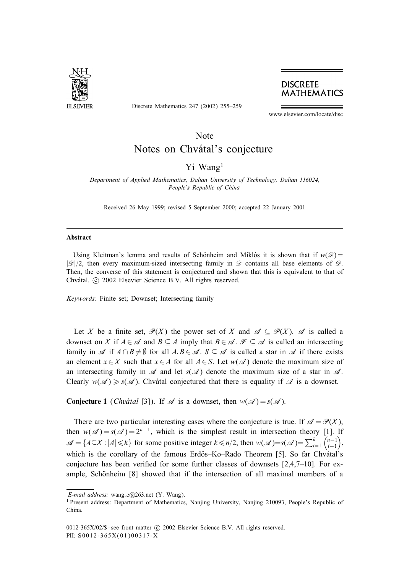

Discrete Mathematics 247 (2002) 255–259

**DISCRETE MATHEMATICS** 

www.elsevier.com/locate/disc

# Note Notes on Chvátal's conjecture

## Yi Wang<sup>1</sup>

*Department of Applied Mathematics, Dalian University of Technology, Dalian 116024, People's Republic of China*

Received 26 May 1999; revised 5 September 2000; accepted 22 January 2001

#### **Abstract**

Using Kleitman's lemma and results of Schönheim and Miklós it is shown that if  $w(\mathscr{D}) =$  $|\mathcal{D}|/2$ , then every maximum-sized intersecting family in  $\mathcal D$  contains all base elements of  $\mathcal D$ . Then, the converse of this statement is conjectured and shown that this is equivalent to that of Chvátal. © 2002 Elsevier Science B.V. All rights reserved.

*Keywords:* Finite set; Downset; Intersecting family

Let X be a finite set,  $\mathcal{P}(X)$  the power set of X and  $\mathcal{A} \subseteq \mathcal{P}(X)$ . A is called a downset on X if  $A \in \mathcal{A}$  and  $B \subseteq A$  imply that  $B \in \mathcal{A}$ .  $\mathcal{F} \subseteq \mathcal{A}$  is called an intersecting family in A if  $A \cap B \neq \emptyset$  for all  $A, B \in \mathcal{A}$ .  $S \subseteq \mathcal{A}$  is called a star in A if there exists an element  $x \in X$  such that  $x \in A$  for all  $A \in S$ . Let  $w(\mathscr{A})$  denote the maximum size of an intersecting family in  $\mathscr A$  and let  $s(\mathscr A)$  denote the maximum size of a star in  $\mathscr A$ . Clearly  $w(\mathcal{A}) \geq s(\mathcal{A})$ . Chvátal conjectured that there is equality if  $\mathcal A$  is a downset.

**Conjecture 1** (*Chvatal* [3]). If  $\mathcal{A}$  is a downset, then  $w(\mathcal{A}) = s(\mathcal{A})$ .

There are two particular interesting cases where the conjecture is true. If  $\mathscr{A} = \mathscr{P}(X)$ , then  $w(\mathscr{A}) = s(\mathscr{A}) = 2^{n-1}$ , which is the simplest result in intersection theory [1]. If  $\mathscr{A} = \{A \subseteq X : |A| \leq k\}$  for some positive integer  $k \leq n/2$ , then  $w(\mathscr{A}) = s(\mathscr{A}) = \sum_{i=1}^{k} {n-1 \choose i-1}$  , which is the corollary of the famous Erdös–Ko–Rado Theorem [5]. So far Chvátal's conjecture has been verified for some further classes of downsets  $[2,4,7-10]$ . For example, Schönheim [8] showed that if the intersection of all maximal members of a

*E-mail address:* wang\_e@263.net (Y. Wang).

<sup>1</sup> Present address: Department of Mathematics, Nanjing University, Nanjing 210093, People's Republic of China.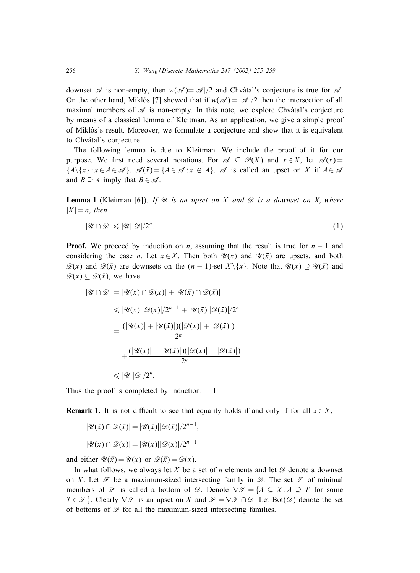downset  $\mathscr A$  is non-empty, then  $w(\mathscr A)=|\mathscr A|/2$  and Chvátal's conjecture is true for  $\mathscr A$ . On the other hand, Miklós [7] showed that if  $w(\mathscr{A}) = |\mathscr{A}|/2$  then the intersection of all maximal members of  $\mathscr A$  is non-empty. In this note, we explore Chvatal's conjecture by means of a classical lemma of Kleitman. As an application, we give a simple proof of Miklós's result. Moreover, we formulate a conjecture and show that it is equivalent to Chvátal's conjecture.

The following lemma is due to Kleitman. We include the proof of it for our purpose. We first need several notations. For  $\mathscr{A} \subseteq \mathscr{P}(X)$  and  $x \in X$ , let  $\mathscr{A}(x) =$  $\{A\}\{x\} : x \in A \in \mathcal{A}\}\,$ ,  $\mathcal{A}(\bar{x}) = \{A \in \mathcal{A} : x \notin A\}\,$ .  $\mathcal{A}$  is called an upset on X if  $A \in \mathcal{A}\}$ and  $B \supseteq A$  imply that  $B \in \mathcal{A}$ .

**Lemma 1** (Kleitman [6]). *If*  $\mathcal{U}$  *is an upset on* X *and*  $\mathcal{D}$  *is a downset on* X, *where*  $|X| = n$ , *then* 

$$
|\mathcal{U} \cap \mathcal{D}| \leqslant |\mathcal{U}| |\mathcal{D}| / 2^n. \tag{1}
$$

**Proof.** We proceed by induction on *n*, assuming that the result is true for  $n - 1$  and considering the case *n*. Let  $x \in X$ . Then both  $\mathcal{U}(x)$  and  $\mathcal{U}(\bar{x})$  are upsets, and both  $\mathscr{D}(x)$  and  $\mathscr{D}(\bar{x})$  are downsets on the  $(n-1)$ -set  $X \setminus \{x\}$ . Note that  $\mathscr{U}(x) \supseteq \mathscr{U}(\bar{x})$  and  $\mathscr{D}(x) \subseteq \mathscr{D}(\bar{x})$ , we have

$$
|\mathcal{U} \cap \mathcal{D}| = |\mathcal{U}(x) \cap \mathcal{D}(x)| + |\mathcal{U}(\bar{x}) \cap \mathcal{D}(\bar{x})|
$$
  
\n
$$
\leq |\mathcal{U}(x)||\mathcal{D}(x)|/2^{n-1} + |\mathcal{U}(\bar{x})| |\mathcal{D}(\bar{x})|/2^{n-1}
$$
  
\n
$$
= \frac{(|\mathcal{U}(x)| + |\mathcal{U}(\bar{x})|)(|\mathcal{D}(x)| + |\mathcal{D}(\bar{x})|)}{2^n}
$$
  
\n
$$
+ \frac{(|\mathcal{U}(x)| - |\mathcal{U}(\bar{x})|)(|\mathcal{D}(x)| - |\mathcal{D}(\bar{x})|)}{2^n}
$$
  
\n
$$
\leq |\mathcal{U}||\mathcal{D}|/2^n.
$$

Thus the proof is completed by induction.  $\Box$ 

**Remark 1.** It is not difficult to see that equality holds if and only if for all  $x \in X$ ,

$$
|\mathcal{U}(\bar{x}) \cap \mathcal{D}(\bar{x})| = |\mathcal{U}(\bar{x})| |\mathcal{D}(\bar{x})|/2^{n-1},
$$
  

$$
|\mathcal{U}(x) \cap \mathcal{D}(x)| = |\mathcal{U}(x)| |\mathcal{D}(x)|/2^{n-1}
$$

and either  $\mathscr{U}(\bar{x}) = \mathscr{U}(x)$  or  $\mathscr{D}(\bar{x}) = \mathscr{D}(x)$ .

In what follows, we always let X be a set of n elements and let  $\mathscr D$  denote a downset on X. Let  $\mathcal F$  be a maximum-sized intersecting family in  $\mathcal D$ . The set  $\mathcal T$  of minimal members of  $\mathcal F$  is called a bottom of  $\mathcal D$ . Denote  $\nabla \mathcal T = \{A \subseteq X : A \supseteq T \text{ for some }$  $T \in \mathcal{T}$ . Clearly  $\nabla \mathcal{T}$  is an upset on X and  $\mathcal{F} = \nabla \mathcal{T} \cap \mathcal{D}$ . Let Bot $(\mathcal{D})$  denote the set of bottoms of  $\mathscr{D}$  for all the maximum-sized intersecting families.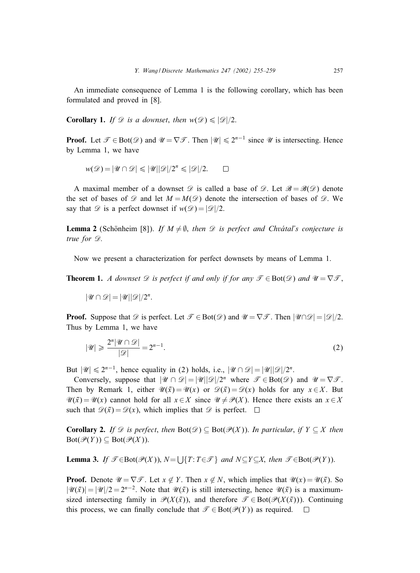An immediate consequence of Lemma 1 is the following corollary, which has been formulated and proved in [8].

**Corollary 1.** *If*  $\mathcal{D}$  *is a downset, then*  $w(\mathcal{D}) \leq |\mathcal{D}|/2$ .

**Proof.** Let  $\mathcal{T} \in \text{Bot}(\mathcal{D})$  and  $\mathcal{U} = \nabla \mathcal{T}$ . Then  $|\mathcal{U}| \leq 2^{n-1}$  since  $\mathcal{U}$  is intersecting. Hence by Lemma 1, we have

$$
w(\mathcal{D}) = |\mathcal{U} \cap \mathcal{D}| \leqslant |\mathcal{U}| |\mathcal{D}|/2^{n} \leqslant |\mathcal{D}|/2. \qquad \Box
$$

A maximal member of a downset  $\mathscr D$  is called a base of  $\mathscr D$ . Let  $\mathscr B = \mathscr B(\mathscr D)$  denote the set of bases of  $\mathscr{D}$  and let  $M = M(\mathscr{D})$  denote the intersection of bases of  $\mathscr{D}$ . We say that  $\mathscr D$  is a perfect downset if  $w(\mathscr D) = |\mathscr D|/2$ .

**Lemma 2** (Schönheim [8]). *If*  $M \neq \emptyset$ , *then*  $\mathcal{D}$  *is perfect and Chvátal's conjecture is true for*  $\mathscr{D}$ *.* 

Now we present a characterization for perfect downsets by means of Lemma 1.

**Theorem 1.** *A downset*  $\mathscr D$  *is perfect if and only if for any*  $\mathscr T \in \text{Bot}(\mathscr D)$  *and*  $\mathscr U = \nabla \mathscr T$ ,

$$
|\mathscr{U} \cap \mathscr{D}| = |\mathscr{U}| |\mathscr{D}|/2^n.
$$

**Proof.** Suppose that  $\mathcal{D}$  is perfect. Let  $\mathcal{T} \in \text{Bot}(\mathcal{D})$  and  $\mathcal{U} = \nabla \mathcal{T}$ . Then  $|\mathcal{U} \cap \mathcal{D}| = |\mathcal{D}|/2$ . Thus by Lemma 1, we have

$$
|\mathcal{U}| \geqslant \frac{2^n |\mathcal{U} \cap \mathcal{D}|}{|\mathcal{D}|} = 2^{n-1}.
$$

But  $|\mathcal{U}| \le 2^{n-1}$ , hence equality in (2) holds, i.e.,  $|\mathcal{U} \cap \mathcal{D}| = |\mathcal{U}| |\mathcal{D}|/2^n$ .

Conversely, suppose that  $|\mathcal{U} \cap \mathcal{D}| = |\mathcal{U}| |\mathcal{D}|/2^n$  where  $\mathcal{T} \in \text{Bot}(\mathcal{D})$  and  $\mathcal{U} = \nabla \mathcal{T}$ . Then by Remark 1, either  $\mathcal{U}(\bar{x}) = \mathcal{U}(x)$  or  $\mathcal{D}(\bar{x}) = \mathcal{D}(x)$  holds for any  $x \in X$ . But  $\mathscr{U}(\bar{x}) = \mathscr{U}(x)$  cannot hold for all  $x \in X$  since  $\mathscr{U} \neq \mathscr{P}(X)$ . Hence there exists an  $x \in X$ such that  $\mathscr{D}(\bar{x}) = \mathscr{D}(x)$ , which implies that  $\mathscr{D}$  is perfect.  $\Box$ 

**Corollary 2.** *If*  $\mathscr D$  *is perfect*, *then*  $\text{Bot}(\mathscr D) \subseteq \text{Bot}(\mathscr P(X))$ . *In particular*, *if*  $Y \subseteq X$  *then*  $\text{Bot}(\mathcal{P}(Y)) \subseteq \text{Bot}(\mathcal{P}(X)).$ 

**Lemma 3.** *If*  $\mathcal{T} \in \text{Bot}(\mathcal{P}(X))$ ,  $N = \bigcup \{T : T \in \mathcal{T}\}\$ and  $N \subseteq Y \subseteq X$ , *then*  $\mathcal{T} \in \text{Bot}(\mathcal{P}(Y))$ .

**Proof.** Denote  $\mathcal{U} = \nabla \mathcal{F}$ . Let  $x \notin Y$ . Then  $x \notin N$ , which implies that  $\mathcal{U}(x) = \mathcal{U}(\bar{x})$ . So  $|\mathcal{U}(\bar{x})| = |\mathcal{U}|/2 = 2^{n-2}$ . Note that  $\mathcal{U}(\bar{x})$  is still intersecting, hence  $\mathcal{U}(\bar{x})$  is a maximumsized intersecting family in  $\mathcal{P}(X(\bar{x}))$ , and therefore  $\mathcal{T} \in \text{Bot}(\mathcal{P}(X(\bar{x})))$ . Continuing this process, we can finally conclude that  $\mathcal{T} \in \text{Bot}(\mathcal{P}(Y))$  as required.  $\Box$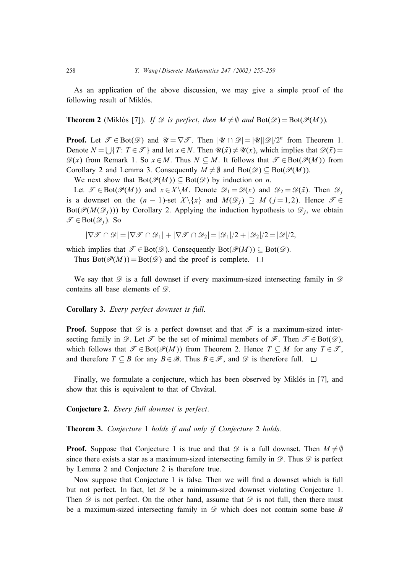As an application of the above discussion, we may give a simple proof of the following result of Miklós.

**Theorem 2** (Miklós [7]). *If*  $\mathscr D$  *is perfect*, *then*  $M \neq \emptyset$  *and*  $Bot(\mathscr D) = Bot(\mathscr P(M))$ *.* 

**Proof.** Let  $\mathcal{T} \in \text{Bot}(\mathcal{D})$  and  $\mathcal{U} = \nabla \mathcal{T}$ . Then  $|\mathcal{U} \cap \mathcal{D}| = |\mathcal{U}| |\mathcal{D}|/2^n$  from Theorem 1. Denote  $N = \bigcup \{T: T \in \mathcal{T}\}\$ and let  $x \in N$ . Then  $\mathcal{U}(\bar{x}) \neq \mathcal{U}(x)$ , which implies that  $\mathcal{D}(\bar{x}) =$  $\mathscr{D}(x)$  from Remark 1. So  $x \in M$ . Thus  $N \subseteq M$ . It follows that  $\mathscr{T} \in \text{Bot}(\mathscr{P}(M))$  from Corollary 2 and Lemma 3. Consequently  $M \neq \emptyset$  and  $Bot(\mathscr{D}) \subset Bot(\mathscr{P}(M))$ .

We next show that  $Bot(\mathscr{P}(M)) \subseteq Bot(\mathscr{D})$  by induction on *n*.

Let  $\mathcal{T} \in \text{Bot}(\mathcal{P}(M))$  and  $x \in X \setminus M$ . Denote  $\mathcal{D}_1 = \mathcal{D}(x)$  and  $\mathcal{D}_2 = \mathcal{D}(\bar{x})$ . Then  $\mathcal{D}_i$ is a downset on the  $(n - 1)$ -set  $X \setminus \{x\}$  and  $M(\mathcal{D}_i) \supseteq M$   $(j = 1, 2)$ . Hence  $\mathcal{T} \in$  $Bot(\mathcal{P}(M(\mathcal{D}_i)))$  by Corollary 2. Applying the induction hypothesis to  $\mathcal{D}_i$ , we obtain  $\mathscr{T} \in \text{Bot}(\mathscr{D}_i)$ . So

 $|\nabla \mathcal{F} \cap \mathcal{D}| = |\nabla \mathcal{F} \cap \mathcal{D}_1| + |\nabla \mathcal{F} \cap \mathcal{D}_2| = |\mathcal{D}_1|/2 + |\mathcal{D}_2|/2 = |\mathcal{D}|/2,$ 

which implies that  $\mathcal{T} \in \text{Bot}(\mathcal{D})$ . Consequently  $\text{Bot}(\mathcal{P}(M)) \subseteq \text{Bot}(\mathcal{D})$ .

Thus  $Bot(\mathcal{P}(M)) = Bot(\mathcal{D})$  and the proof is complete.  $\Box$ 

We say that  $\mathscr D$  is a full downset if every maximum-sized intersecting family in  $\mathscr D$ contains all base elements of  $\mathscr{D}$ .

**Corollary 3.** *Every perfect downset is full*.

**Proof.** Suppose that  $\mathscr D$  is a perfect downset and that  $\mathscr F$  is a maximum-sized intersecting family in  $\mathscr{D}$ . Let  $\mathscr{T}$  be the set of minimal members of  $\mathscr{F}$ . Then  $\mathscr{T} \in \text{Bot}(\mathscr{D})$ , which follows that  $\mathcal{T} \in \text{Bot}(\mathcal{P}(M))$  from Theorem 2. Hence  $T \subseteq M$  for any  $T \in \mathcal{T}$ , and therefore  $T \subseteq B$  for any  $B \in \mathcal{B}$ . Thus  $B \in \mathcal{F}$ , and  $\mathcal{D}$  is therefore full.  $\square$ 

Finally, we formulate a conjecture, which has been observed by Miklós in [7], and show that this is equivalent to that of Chvátal.

**Conjecture 2.** *Every full downset is perfect*.

**Theorem 3.** *Conjecture* 1 *holds if and only if Conjecture* 2 *holds*.

**Proof.** Suppose that Conjecture 1 is true and that  $\mathscr{D}$  is a full downset. Then  $M \neq \emptyset$ since there exists a star as a maximum-sized intersecting family in  $\mathcal{D}$ . Thus  $\mathcal{D}$  is perfect by Lemma 2 and Conjecture 2 is therefore true.

Now suppose that Conjecture 1 is false. Then we will find a downset which is full but not perfect. In fact, let  $\mathscr D$  be a minimum-sized downset violating Conjecture 1. Then  $\mathscr D$  is not perfect. On the other hand, assume that  $\mathscr D$  is not full, then there must be a maximum-sized intersecting family in  $\mathscr D$  which does not contain some base  $B$